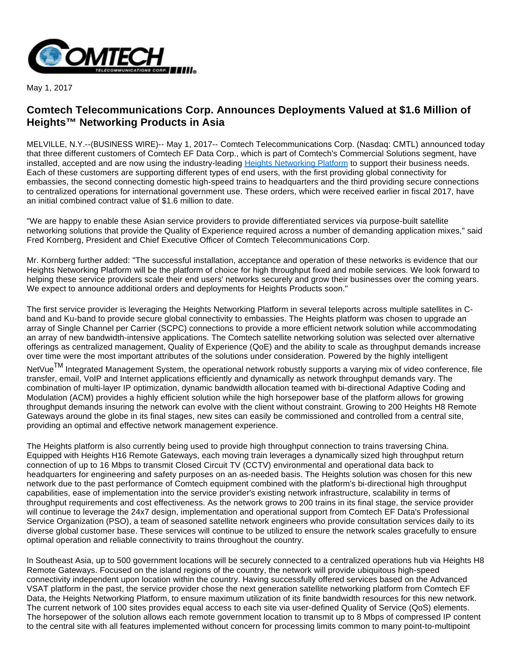

May 1, 2017

## **Comtech Telecommunications Corp. Announces Deployments Valued at \$1.6 Million of Heights™ Networking Products in Asia**

MELVILLE, N.Y.--(BUSINESS WIRE)-- May 1, 2017-- Comtech Telecommunications Corp. (Nasdaq: CMTL) announced today that three different customers of Comtech EF Data Corp., which is part of Comtech's Commercial Solutions segment, have installed, accepted and are now using the industry-leading [Heights Networking Platform](http://cts.businesswire.com/ct/CT?id=smartlink&url=http%3A%2F%2Fwww.comtechefdata.com%2Fproducts%2Fheights&esheet=51549921&newsitemid=20170501005256&lan=en-US&anchor=Heights+Networking+Platform&index=1&md5=b05f9f3c677b9da5c586105af2b087f1) to support their business needs. Each of these customers are supporting different types of end users, with the first providing global connectivity for embassies, the second connecting domestic high-speed trains to headquarters and the third providing secure connections to centralized operations for international government use. These orders, which were received earlier in fiscal 2017, have an initial combined contract value of \$1.6 million to date.

"We are happy to enable these Asian service providers to provide differentiated services via purpose-built satellite networking solutions that provide the Quality of Experience required across a number of demanding application mixes," said Fred Kornberg, President and Chief Executive Officer of Comtech Telecommunications Corp.

Mr. Kornberg further added: "The successful installation, acceptance and operation of these networks is evidence that our Heights Networking Platform will be the platform of choice for high throughput fixed and mobile services. We look forward to helping these service providers scale their end users' networks securely and grow their businesses over the coming years. We expect to announce additional orders and deployments for Heights Products soon."

The first service provider is leveraging the Heights Networking Platform in several teleports across multiple satellites in Cband and Ku-band to provide secure global connectivity to embassies. The Heights platform was chosen to upgrade an array of Single Channel per Carrier (SCPC) connections to provide a more efficient network solution while accommodating an array of new bandwidth-intensive applications. The Comtech satellite networking solution was selected over alternative offerings as centralized management, Quality of Experience (QoE) and the ability to scale as throughput demands increase over time were the most important attributes of the solutions under consideration. Powered by the highly intelligent

NetVue<sup>TM</sup> Integrated Management System, the operational network robustly supports a varying mix of video conference, file transfer, email, VoIP and Internet applications efficiently and dynamically as network throughput demands vary. The combination of multi-layer IP optimization, dynamic bandwidth allocation teamed with bi-directional Adaptive Coding and Modulation (ACM) provides a highly efficient solution while the high horsepower base of the platform allows for growing throughput demands insuring the network can evolve with the client without constraint. Growing to 200 Heights H8 Remote Gateways around the globe in its final stages, new sites can easily be commissioned and controlled from a central site, providing an optimal and effective network management experience.

The Heights platform is also currently being used to provide high throughput connection to trains traversing China. Equipped with Heights H16 Remote Gateways, each moving train leverages a dynamically sized high throughput return connection of up to 16 Mbps to transmit Closed Circuit TV (CCTV) environmental and operational data back to headquarters for engineering and safety purposes on an as-needed basis. The Heights solution was chosen for this new network due to the past performance of Comtech equipment combined with the platform's bi-directional high throughput capabilities, ease of implementation into the service provider's existing network infrastructure, scalability in terms of throughput requirements and cost effectiveness. As the network grows to 200 trains in its final stage, the service provider will continue to leverage the 24x7 design, implementation and operational support from Comtech EF Data's Professional Service Organization (PSO), a team of seasoned satellite network engineers who provide consultation services daily to its diverse global customer base. These services will continue to be utilized to ensure the network scales gracefully to ensure optimal operation and reliable connectivity to trains throughout the country.

In Southeast Asia, up to 500 government locations will be securely connected to a centralized operations hub via Heights H8 Remote Gateways. Focused on the island regions of the country, the network will provide ubiquitous high-speed connectivity independent upon location within the country. Having successfully offered services based on the Advanced VSAT platform in the past, the service provider chose the next generation satellite networking platform from Comtech EF Data, the Heights Networking Platform, to ensure maximum utilization of its finite bandwidth resources for this new network. The current network of 100 sites provides equal access to each site via user-defined Quality of Service (QoS) elements. The horsepower of the solution allows each remote government location to transmit up to 8 Mbps of compressed IP content to the central site with all features implemented without concern for processing limits common to many point-to-multipoint